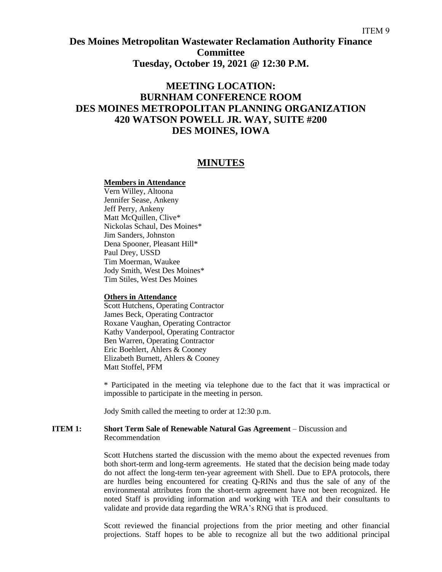## **Des Moines Metropolitan Wastewater Reclamation Authority Finance Committee Tuesday, October 19, 2021 @ 12:30 P.M.**

# **MEETING LOCATION: BURNHAM CONFERENCE ROOM DES MOINES METROPOLITAN PLANNING ORGANIZATION 420 WATSON POWELL JR. WAY, SUITE #200 DES MOINES, IOWA**

### **MINUTES**

#### **Members in Attendance**

Vern Willey, Altoona Jennifer Sease, Ankeny Jeff Perry, Ankeny Matt McQuillen, Clive\* Nickolas Schaul, Des Moines\* Jim Sanders, Johnston Dena Spooner, Pleasant Hill\* Paul Drey, USSD Tim Moerman, Waukee Jody Smith, West Des Moines\* Tim Stiles, West Des Moines

#### **Others in Attendance**

Scott Hutchens, Operating Contractor James Beck, Operating Contractor Roxane Vaughan, Operating Contractor Kathy Vanderpool, Operating Contractor Ben Warren, Operating Contractor Eric Boehlert, Ahlers & Cooney Elizabeth Burnett, Ahlers & Cooney Matt Stoffel, PFM

\* Participated in the meeting via telephone due to the fact that it was impractical or impossible to participate in the meeting in person.

Jody Smith called the meeting to order at 12:30 p.m.

#### **ITEM 1: Short Term Sale of Renewable Natural Gas Agreement** – Discussion and Recommendation

Scott Hutchens started the discussion with the memo about the expected revenues from both short-term and long-term agreements. He stated that the decision being made today do not affect the long-term ten-year agreement with Shell. Due to EPA protocols, there are hurdles being encountered for creating Q-RINs and thus the sale of any of the environmental attributes from the short-term agreement have not been recognized. He noted Staff is providing information and working with TEA and their consultants to validate and provide data regarding the WRA's RNG that is produced.

Scott reviewed the financial projections from the prior meeting and other financial projections. Staff hopes to be able to recognize all but the two additional principal